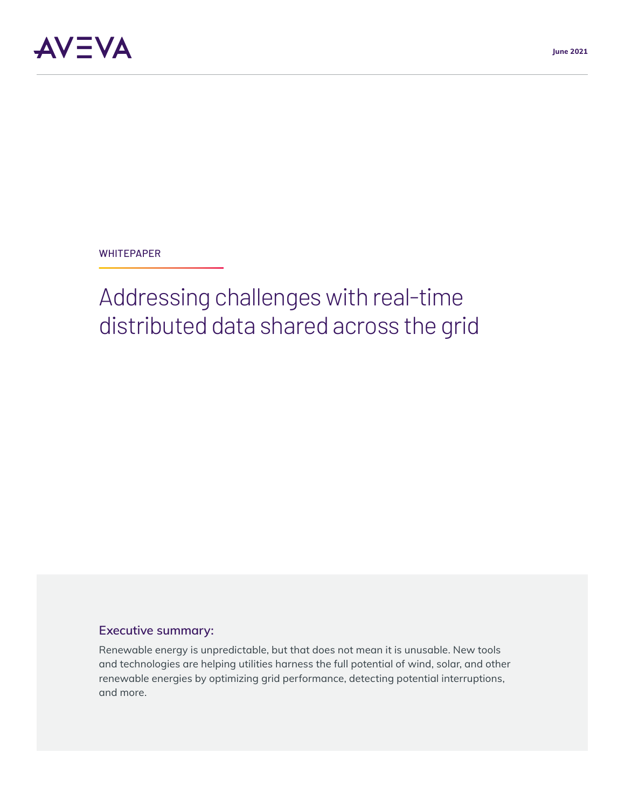**WHITEPAPER** 

# Addressing challenges with real-time distributed data shared across the grid

# **Executive summary:**

Renewable energy is unpredictable, but that does not mean it is unusable. New tools and technologies are helping utilities harness the full potential of wind, solar, and other renewable energies by optimizing grid performance, detecting potential interruptions, and more.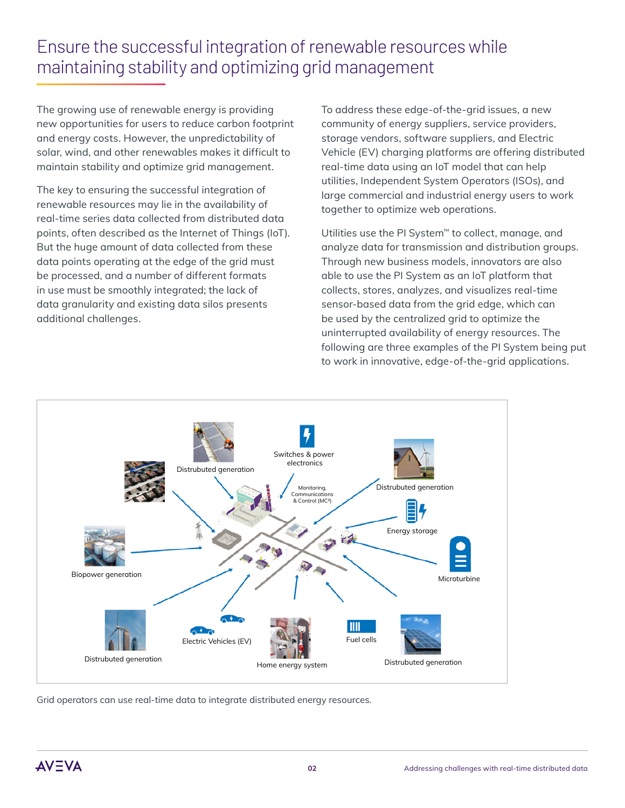# Ensure the successful integration of renewable resources while maintaining stability and optimizing grid management

The growing use of renewable energy is providing new opportunities for users to reduce carbon footprint and energy costs. However, the unpredictability of solar, wind, and other renewables makes it difficult to maintain stability and optimize grid management.

The key to ensuring the successful integration of renewable resources may lie in the availability of real-time series data collected from distributed data points, often described as the Internet of Things (IoT). But the huge amount of data collected from these data points operating at the edge of the grid must be processed, and a number of different formats in use must be smoothly integrated; the lack of data granularity and existing data silos presents additional challenges.

To address these edge-of-the-grid issues, a new community of energy suppliers, service providers, storage vendors, software suppliers, and Electric Vehicle (EV) charging platforms are offering distributed real-time data using an IoT model that can help utilities, Independent System Operators (ISOs), and large commercial and industrial energy users to work together to optimize web operations.

Utilities use the PI System<sup>™</sup> to collect, manage, and analyze data for transmission and distribution groups. Through new business models, innovators are also able to use the PI System as an IoT platform that collects, stores, analyzes, and visualizes real-time sensor-based data from the grid edge, which can be used by the centralized grid to optimize the uninterrupted availability of energy resources. The following are three examples of the PI System being put to work in innovative, edge-of-the-grid applications.



Grid operators can use real-time data to integrate distributed energy resources.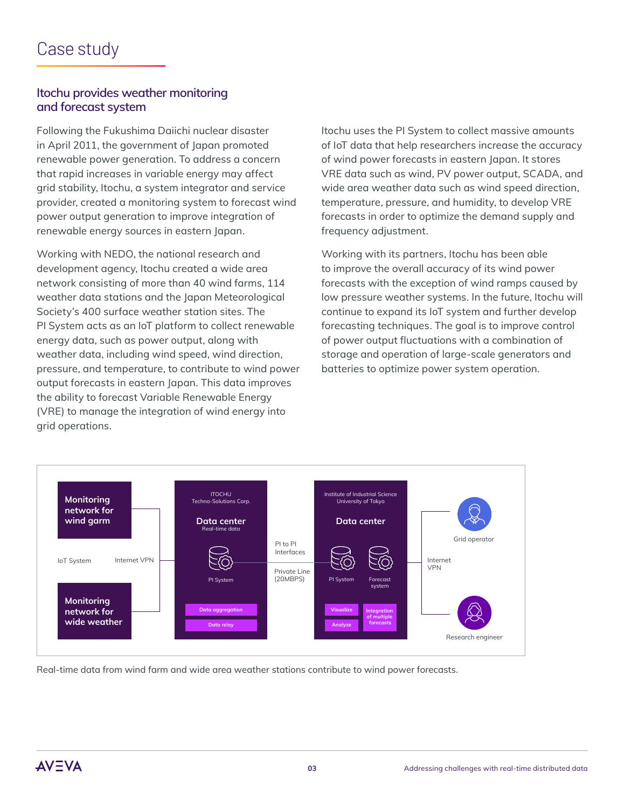### **Itochu provides weather monitoring and forecast system**

Following the Fukushima Daiichi nuclear disaster in April 2011, the government of Japan promoted renewable power generation. To address a concern that rapid increases in variable energy may affect grid stability, Itochu, a system integrator and service provider, created a monitoring system to forecast wind power output generation to improve integration of renewable energy sources in eastern Japan.

Working with NEDO, the national research and development agency, Itochu created a wide area network consisting of more than 40 wind farms, 114 weather data stations and the Japan Meteorological Society's 400 surface weather station sites. The PI System acts as an IoT platform to collect renewable energy data, such as power output, along with weather data, including wind speed, wind direction, pressure, and temperature, to contribute to wind power output forecasts in eastern Japan. This data improves the ability to forecast Variable Renewable Energy (VRE) to manage the integration of wind energy into grid operations.

Itochu uses the PI System to collect massive amounts of IoT data that help researchers increase the accuracy of wind power forecasts in eastern Japan. It stores VRE data such as wind, PV power output, SCADA, and wide area weather data such as wind speed direction, temperature, pressure, and humidity, to develop VRE forecasts in order to optimize the demand supply and frequency adjustment.

Working with its partners, Itochu has been able to improve the overall accuracy of its wind power forecasts with the exception of wind ramps caused by low pressure weather systems. In the future, Itochu will continue to expand its IoT system and further develop forecasting techniques. The goal is to improve control of power output fluctuations with a combination of storage and operation of large-scale generators and batteries to optimize power system operation.



Real-time data from wind farm and wide area weather stations contribute to wind power forecasts.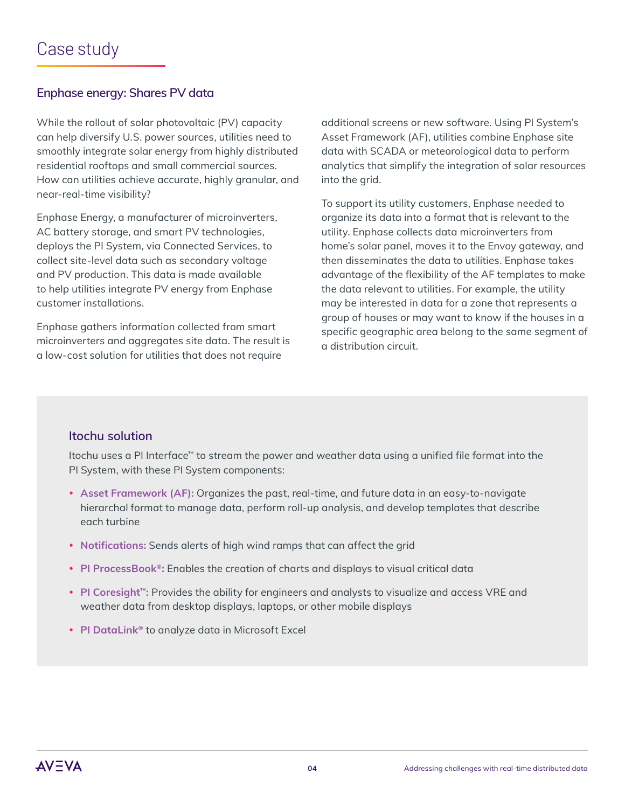# **Enphase energy: Shares PV data**

While the rollout of solar photovoltaic (PV) capacity can help diversify U.S. power sources, utilities need to smoothly integrate solar energy from highly distributed residential rooftops and small commercial sources. How can utilities achieve accurate, highly granular, and near-real-time visibility?

Enphase Energy, a manufacturer of microinverters, AC battery storage, and smart PV technologies, deploys the PI System, via Connected Services, to collect site-level data such as secondary voltage and PV production. This data is made available to help utilities integrate PV energy from Enphase customer installations.

Enphase gathers information collected from smart microinverters and aggregates site data. The result is a low-cost solution for utilities that does not require

additional screens or new software. Using PI System's Asset Framework (AF), utilities combine Enphase site data with SCADA or meteorological data to perform analytics that simplify the integration of solar resources into the grid.

To support its utility customers, Enphase needed to organize its data into a format that is relevant to the utility. Enphase collects data microinverters from home's solar panel, moves it to the Envoy gateway, and then disseminates the data to utilities. Enphase takes advantage of the flexibility of the AF templates to make the data relevant to utilities. For example, the utility may be interested in data for a zone that represents a group of houses or may want to know if the houses in a specific geographic area belong to the same segment of a distribution circuit.

# **Itochu solution**

Itochu uses a PI Interface™ to stream the power and weather data using a unified file format into the PI System, with these PI System components:

- Asset Framework (AF): Organizes the past, real-time, and future data in an easy-to-navigate hierarchal format to manage data, perform roll-up analysis, and develop templates that describe each turbine
- Notifications: Sends alerts of high wind ramps that can affect the grid
- **PI ProcessBook®:** Enables the creation of charts and displays to visual critical data
- PI Coresight<sup>™</sup>: Provides the ability for engineers and analysts to visualize and access VRE and weather data from desktop displays, laptops, or other mobile displays
- **PI DataLink<sup>®</sup> to analyze data in Microsoft Excel**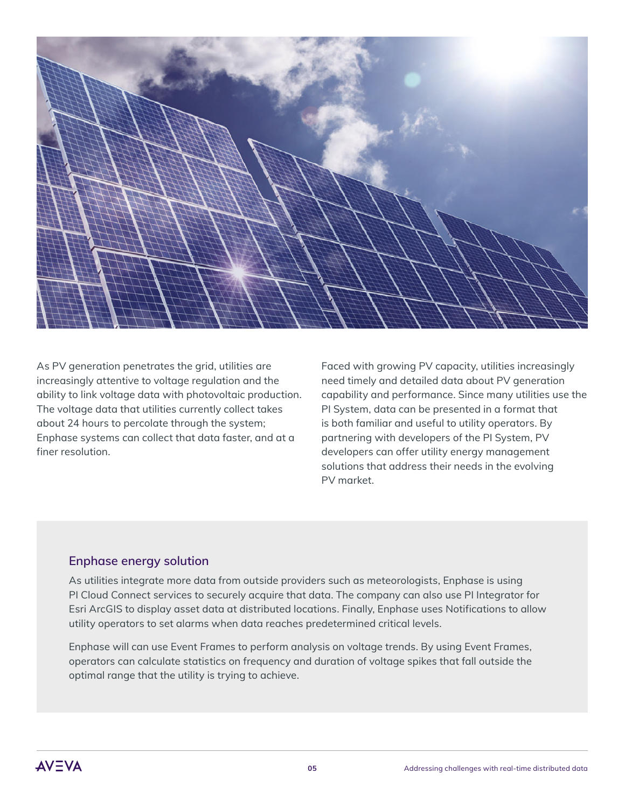

As PV generation penetrates the grid, utilities are increasingly attentive to voltage regulation and the ability to link voltage data with photovoltaic production. The voltage data that utilities currently collect takes about 24 hours to percolate through the system; Enphase systems can collect that data faster, and at a finer resolution.

Faced with growing PV capacity, utilities increasingly need timely and detailed data about PV generation capability and performance. Since many utilities use the PI System, data can be presented in a format that is both familiar and useful to utility operators. By partnering with developers of the PI System, PV developers can offer utility energy management solutions that address their needs in the evolving PV market.

#### **Enphase energy solution**

As utilities integrate more data from outside providers such as meteorologists, Enphase is using PI Cloud Connect services to securely acquire that data. The company can also use PI Integrator for Esri ArcGIS to display asset data at distributed locations. Finally, Enphase uses Notifications to allow utility operators to set alarms when data reaches predetermined critical levels.

Enphase will can use Event Frames to perform analysis on voltage trends. By using Event Frames, operators can calculate statistics on frequency and duration of voltage spikes that fall outside the optimal range that the utility is trying to achieve.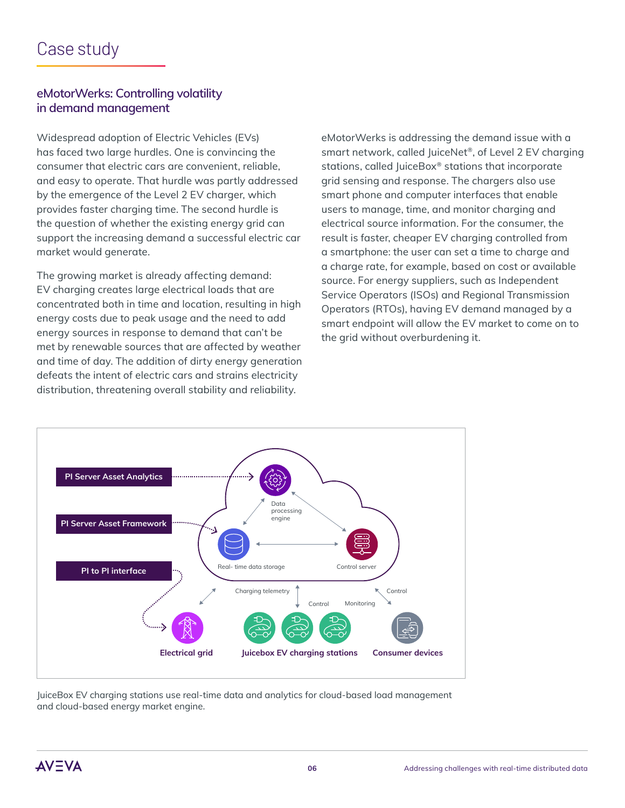### **eMotorWerks: Controlling volatility in demand management**

Widespread adoption of Electric Vehicles (EVs) has faced two large hurdles. One is convincing the consumer that electric cars are convenient, reliable, and easy to operate. That hurdle was partly addressed by the emergence of the Level 2 EV charger, which provides faster charging time. The second hurdle is the question of whether the existing energy grid can support the increasing demand a successful electric car market would generate.

The growing market is already affecting demand: EV charging creates large electrical loads that are concentrated both in time and location, resulting in high energy costs due to peak usage and the need to add energy sources in response to demand that can't be met by renewable sources that are affected by weather and time of day. The addition of dirty energy generation defeats the intent of electric cars and strains electricity distribution, threatening overall stability and reliability.

eMotorWerks is addressing the demand issue with a smart network, called JuiceNet®, of Level 2 EV charging stations, called JuiceBox® stations that incorporate grid sensing and response. The chargers also use smart phone and computer interfaces that enable users to manage, time, and monitor charging and electrical source information. For the consumer, the result is faster, cheaper EV charging controlled from a smartphone: the user can set a time to charge and a charge rate, for example, based on cost or available source. For energy suppliers, such as Independent Service Operators (ISOs) and Regional Transmission Operators (RTOs), having EV demand managed by a smart endpoint will allow the EV market to come on to the grid without overburdening it.



JuiceBox EV charging stations use real-time data and analytics for cloud-based load management and cloud-based energy market engine.

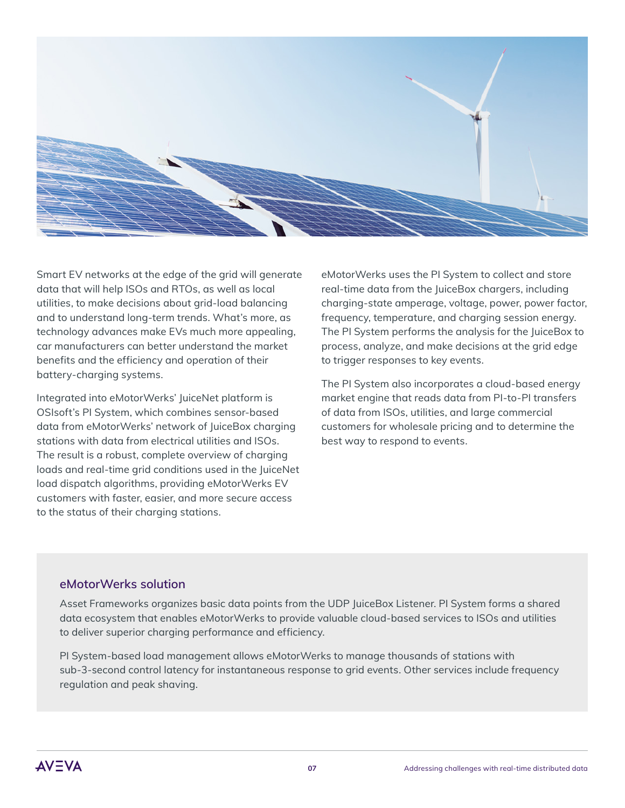

Smart EV networks at the edge of the grid will generate data that will help ISOs and RTOs, as well as local utilities, to make decisions about grid-load balancing and to understand long-term trends. What's more, as technology advances make EVs much more appealing, car manufacturers can better understand the market benefits and the efficiency and operation of their battery-charging systems.

Integrated into eMotorWerks' JuiceNet platform is OSIsoft's PI System, which combines sensor-based data from eMotorWerks' network of JuiceBox charging stations with data from electrical utilities and ISOs. The result is a robust, complete overview of charging loads and real-time grid conditions used in the JuiceNet load dispatch algorithms, providing eMotorWerks EV customers with faster, easier, and more secure access to the status of their charging stations.

eMotorWerks uses the PI System to collect and store real-time data from the JuiceBox chargers, including charging-state amperage, voltage, power, power factor, frequency, temperature, and charging session energy. The PI System performs the analysis for the JuiceBox to process, analyze, and make decisions at the grid edge to trigger responses to key events.

The PI System also incorporates a cloud-based energy market engine that reads data from PI-to-PI transfers of data from ISOs, utilities, and large commercial customers for wholesale pricing and to determine the best way to respond to events.

#### **eMotorWerks solution**

Asset Frameworks organizes basic data points from the UDP JuiceBox Listener. PI System forms a shared data ecosystem that enables eMotorWerks to provide valuable cloud-based services to ISOs and utilities to deliver superior charging performance and efficiency.

PI System-based load management allows eMotorWerks to manage thousands of stations with sub-3-second control latency for instantaneous response to grid events. Other services include frequency regulation and peak shaving.